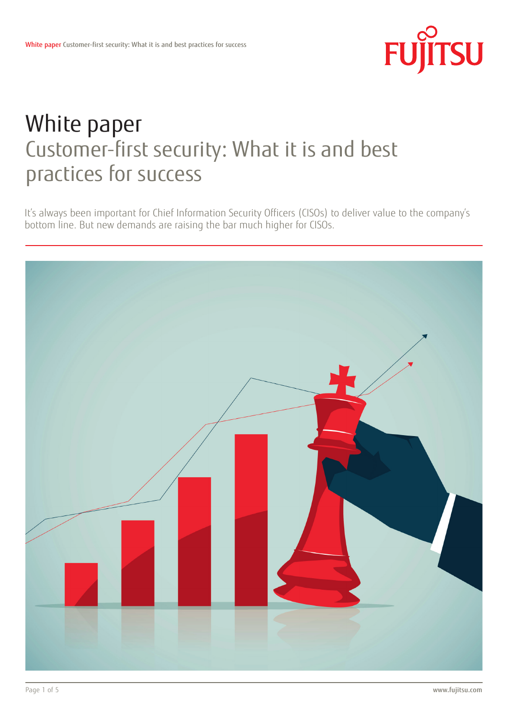

# White paper Customer-first security: What it is and best practices for success

It's always been important for Chief Information Security Officers (CISOs) to deliver value to the company's bottom line. But new demands are raising the bar much higher for CISOs.

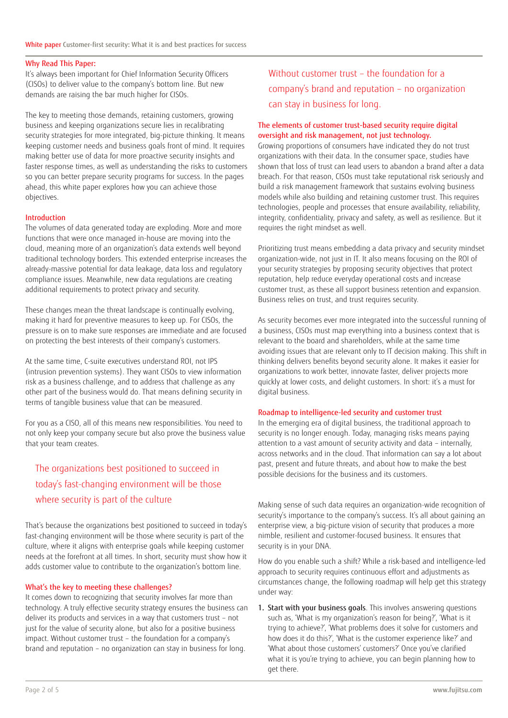#### Why Read This Paper:

It's always been important for Chief Information Security Officers (CISOs) to deliver value to the company's bottom line. But new demands are raising the bar much higher for CISOs.

The key to meeting those demands, retaining customers, growing business and keeping organizations secure lies in recalibrating security strategies for more integrated, big-picture thinking. It means keeping customer needs and business goals front of mind. It requires making better use of data for more proactive security insights and faster response times, as well as understanding the risks to customers so you can better prepare security programs for success. In the pages ahead, this white paper explores how you can achieve those objectives.

#### Introduction

The volumes of data generated today are exploding. More and more functions that were once managed in-house are moving into the cloud, meaning more of an organization's data extends well beyond traditional technology borders. This extended enterprise increases the already-massive potential for data leakage, data loss and regulatory compliance issues. Meanwhile, new data regulations are creating additional requirements to protect privacy and security.

These changes mean the threat landscape is continually evolving, making it hard for preventive measures to keep up. For CISOs, the pressure is on to make sure responses are immediate and are focused on protecting the best interests of their company's customers.

At the same time, C-suite executives understand ROI, not IPS (intrusion prevention systems). They want CISOs to view information risk as a business challenge, and to address that challenge as any other part of the business would do. That means defining security in terms of tangible business value that can be measured.

For you as a CISO, all of this means new responsibilities. You need to not only keep your company secure but also prove the business value that your team creates.

## The organizations best positioned to succeed in today's fast-changing environment will be those where security is part of the culture

That's because the organizations best positioned to succeed in today's fast-changing environment will be those where security is part of the culture, where it aligns with enterprise goals while keeping customer needs at the forefront at all times. In short, security must show how it adds customer value to contribute to the organization's bottom line.

#### What's the key to meeting these challenges?

It comes down to recognizing that security involves far more than technology. A truly effective security strategy ensures the business can deliver its products and services in a way that customers trust – not just for the value of security alone, but also for a positive business impact. Without customer trust – the foundation for a company's brand and reputation – no organization can stay in business for long.

## Without customer trust – the foundation for a company's brand and reputation – no organization can stay in business for long.

## The elements of customer trust-based security require digital oversight and risk management, not just technology.

Growing proportions of consumers have indicated they do not trust organizations with their data. In the consumer space, studies have shown that loss of trust can lead users to abandon a brand after a data breach. For that reason, CISOs must take reputational risk seriously and build a risk management framework that sustains evolving business models while also building and retaining customer trust. This requires technologies, people and processes that ensure availability, reliability, integrity, confidentiality, privacy and safety, as well as resilience. But it requires the right mindset as well.

Prioritizing trust means embedding a data privacy and security mindset organization-wide, not just in IT. It also means focusing on the ROI of your security strategies by proposing security objectives that protect reputation, help reduce everyday operational costs and increase customer trust, as these all support business retention and expansion. Business relies on trust, and trust requires security.

As security becomes ever more integrated into the successful running of a business, CISOs must map everything into a business context that is relevant to the board and shareholders, while at the same time avoiding issues that are relevant only to IT decision making. This shift in thinking delivers benefits beyond security alone. It makes it easier for organizations to work better, innovate faster, deliver projects more quickly at lower costs, and delight customers. In short: it's a must for digital business.

#### Roadmap to intelligence-led security and customer trust

In the emerging era of digital business, the traditional approach to security is no longer enough. Today, managing risks means paying attention to a vast amount of security activity and data – internally, across networks and in the cloud. That information can say a lot about past, present and future threats, and about how to make the best possible decisions for the business and its customers.

Making sense of such data requires an organization-wide recognition of security's importance to the company's success. It's all about gaining an enterprise view, a big-picture vision of security that produces a more nimble, resilient and customer-focused business. It ensures that security is in your DNA.

How do you enable such a shift? While a risk-based and intelligence-led approach to security requires continuous effort and adjustments as circumstances change, the following roadmap will help get this strategy under way:

1. Start with your business goals. This involves answering questions such as, 'What is my organization's reason for being?', 'What is it trying to achieve?', 'What problems does it solve for customers and how does it do this?', 'What is the customer experience like?' and 'What about those customers' customers?' Once you've clarified what it is you're trying to achieve, you can begin planning how to get there.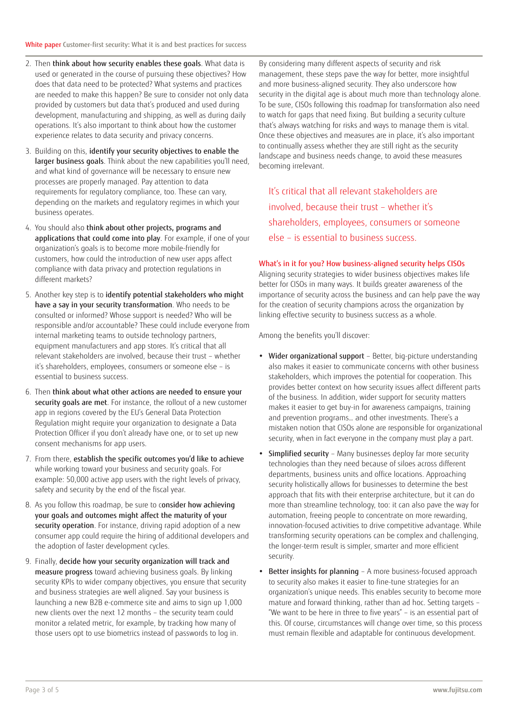- 2. Then think about how security enables these goals. What data is used or generated in the course of pursuing these objectives? How does that data need to be protected? What systems and practices are needed to make this happen? Be sure to consider not only data provided by customers but data that's produced and used during development, manufacturing and shipping, as well as during daily operations. It's also important to think about how the customer experience relates to data security and privacy concerns.
- 3. Building on this, identify your security objectives to enable the larger business goals. Think about the new capabilities you'll need. and what kind of governance will be necessary to ensure new processes are properly managed. Pay attention to data requirements for regulatory compliance, too. These can vary, depending on the markets and regulatory regimes in which your business operates.
- 4. You should also think about other projects, programs and applications that could come into play. For example, if one of your organization's goals is to become more mobile-friendly for customers, how could the introduction of new user apps affect compliance with data privacy and protection regulations in different markets?
- 5. Another key step is to identify potential stakeholders who might have a say in your security transformation. Who needs to be consulted or informed? Whose support is needed? Who will be responsible and/or accountable? These could include everyone from internal marketing teams to outside technology partners, equipment manufacturers and app stores. It's critical that all relevant stakeholders are involved, because their trust – whether it's shareholders, employees, consumers or someone else – is essential to business success.
- 6. Then think about what other actions are needed to ensure your security goals are met. For instance, the rollout of a new customer app in regions covered by the EU's General Data Protection Regulation might require your organization to designate a Data Protection Officer if you don't already have one, or to set up new consent mechanisms for app users.
- 7. From there, establish the specific outcomes you'd like to achieve while working toward your business and security goals. For example: 50,000 active app users with the right levels of privacy, safety and security by the end of the fiscal year.
- 8. As you follow this roadmap, be sure to consider how achieving your goals and outcomes might affect the maturity of your security operation. For instance, driving rapid adoption of a new consumer app could require the hiring of additional developers and the adoption of faster development cycles.
- 9. Finally, decide how your security organization will track and measure progress toward achieving business goals. By linking security KPIs to wider company objectives, you ensure that security and business strategies are well aligned. Say your business is launching a new B2B e-commerce site and aims to sign up 1,000 new clients over the next 12 months – the security team could monitor a related metric, for example, by tracking how many of those users opt to use biometrics instead of passwords to log in.

By considering many different aspects of security and risk management, these steps pave the way for better, more insightful and more business-aligned security. They also underscore how security in the digital age is about much more than technology alone. To be sure, CISOs following this roadmap for transformation also need to watch for gaps that need fixing. But building a security culture that's always watching for risks and ways to manage them is vital. Once these objectives and measures are in place, it's also important to continually assess whether they are still right as the security landscape and business needs change, to avoid these measures becoming irrelevant.

It's critical that all relevant stakeholders are involved, because their trust – whether it's shareholders, employees, consumers or someone else – is essential to business success.

#### What's in it for you? How business-aligned security helps CISOs

Aligning security strategies to wider business objectives makes life better for CISOs in many ways. It builds greater awareness of the importance of security across the business and can help pave the way for the creation of security champions across the organization by linking effective security to business success as a whole.

Among the benefits you'll discover:

- Wider organizational support Better, big-picture understanding also makes it easier to communicate concerns with other business stakeholders, which improves the potential for cooperation. This provides better context on how security issues affect different parts of the business. In addition, wider support for security matters makes it easier to get buy-in for awareness campaigns, training and prevention programs… and other investments. There's a mistaken notion that CISOs alone are responsible for organizational security, when in fact everyone in the company must play a part.
- Simplified security Many businesses deploy far more security technologies than they need because of siloes across different departments, business units and office locations. Approaching security holistically allows for businesses to determine the best approach that fits with their enterprise architecture, but it can do more than streamline technology, too: it can also pave the way for automation, freeing people to concentrate on more rewarding, innovation-focused activities to drive competitive advantage. While transforming security operations can be complex and challenging, the longer-term result is simpler, smarter and more efficient security.
- Better insights for planning A more business-focused approach to security also makes it easier to fine-tune strategies for an organization's unique needs. This enables security to become more mature and forward thinking, rather than ad hoc. Setting targets – "We want to be here in three to five years" – is an essential part of this. Of course, circumstances will change over time, so this process must remain flexible and adaptable for continuous development.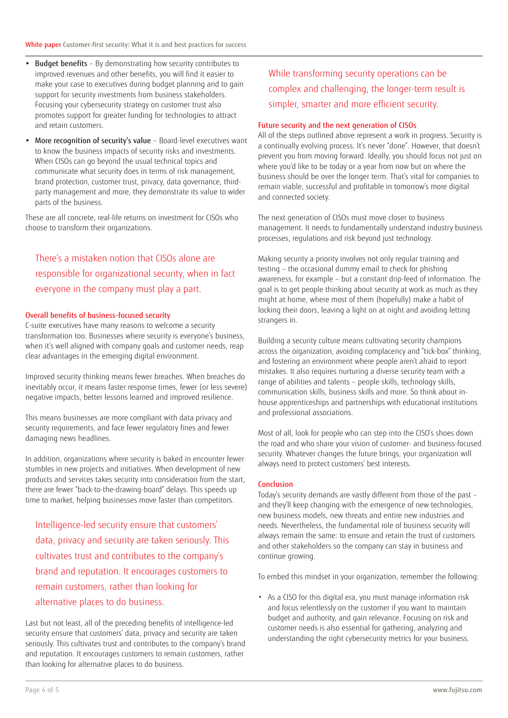- Budget benefits By demonstrating how security contributes to improved revenues and other benefits, you will find it easier to make your case to executives during budget planning and to gain support for security investments from business stakeholders. Focusing your cybersecurity strategy on customer trust also promotes support for greater funding for technologies to attract and retain customers.
- More recognition of security's value Board-level executives want to know the business impacts of security risks and investments. When CISOs can go beyond the usual technical topics and communicate what security does in terms of risk management, brand protection, customer trust, privacy, data governance, thirdparty management and more, they demonstrate its value to wider parts of the business.

These are all concrete, real-life returns on investment for CISOs who choose to transform their organizations.

# There's a mistaken notion that CISOs alone are responsible for organizational security, when in fact everyone in the company must play a part.

#### Overall benefits of business-focused security

C-suite executives have many reasons to welcome a security transformation too. Businesses where security is everyone's business, when it's well aligned with company goals and customer needs, reap clear advantages in the emerging digital environment.

Improved security thinking means fewer breaches. When breaches do inevitably occur, it means faster response times, fewer (or less severe) negative impacts, better lessons learned and improved resilience.

This means businesses are more compliant with data privacy and security requirements, and face fewer regulatory fines and fewer damaging news headlines.

In addition, organizations where security is baked in encounter fewer stumbles in new projects and initiatives. When development of new products and services takes security into consideration from the start, there are fewer "back-to-the-drawing-board" delays. This speeds up time to market, helping businesses move faster than competitors.

Intelligence-led security ensure that customers' data, privacy and security are taken seriously. This cultivates trust and contributes to the company's brand and reputation. It encourages customers to remain customers, rather than looking for alternative places to do business.

Last but not least, all of the preceding benefits of intelligence-led security ensure that customers' data, privacy and security are taken seriously. This cultivates trust and contributes to the company's brand and reputation. It encourages customers to remain customers, rather than looking for alternative places to do business.

## While transforming security operations can be complex and challenging, the longer-term result is simpler, smarter and more efficient security.

### Future security and the next generation of CISOs

All of the steps outlined above represent a work in progress. Security is a continually evolving process. It's never "done". However, that doesn't prevent you from moving forward. Ideally, you should focus not just on where you'd like to be today or a year from now but on where the business should be over the longer term. That's vital for companies to remain viable, successful and profitable in tomorrow's more digital and connected society.

The next generation of CISOs must move closer to business management. It needs to fundamentally understand industry business processes, regulations and risk beyond just technology.

Making security a priority involves not only regular training and testing – the occasional dummy email to check for phishing awareness, for example – but a constant drip-feed of information. The goal is to get people thinking about security at work as much as they might at home, where most of them (hopefully) make a habit of locking their doors, leaving a light on at night and avoiding letting strangers in.

Building a security culture means cultivating security champions across the organization, avoiding complacency and "tick-box" thinking, and fostering an environment where people aren't afraid to report mistakes. It also requires nurturing a diverse security team with a range of abilities and talents – people skills, technology skills, communication skills, business skills and more. So think about inhouse apprenticeships and partnerships with educational institutions and professional associations.

Most of all, look for people who can step into the CISO's shoes down the road and who share your vision of customer- and business-focused security. Whatever changes the future brings, your organization will always need to protect customers' best interests.

#### Conclusion

Today's security demands are vastly different from those of the past – and they'll keep changing with the emergence of new technologies, new business models, new threats and entire new industries and needs. Nevertheless, the fundamental role of business security will always remain the same: to ensure and retain the trust of customers and other stakeholders so the company can stay in business and continue growing.

To embed this mindset in your organization, remember the following:

• As a CISO for this digital era, you must manage information risk and focus relentlessly on the customer if you want to maintain budget and authority, and gain relevance. Focusing on risk and customer needs is also essential for gathering, analyzing and understanding the right cybersecurity metrics for your business.